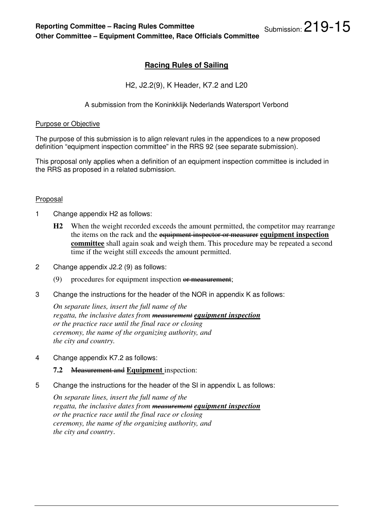# **Racing Rules of Sailing**

H2, J2.2(9), K Header, K7.2 and L20

## A submission from the Koninkklijk Nederlands Watersport Verbond

#### Purpose or Objective

The purpose of this submission is to align relevant rules in the appendices to a new proposed definition "equipment inspection committee" in the RRS 92 (see separate submission).

This proposal only applies when a definition of an equipment inspection committee is included in the RRS as proposed in a related submission.

#### **Proposal**

- 1 Change appendix H2 as follows:
	- **H2** When the weight recorded exceeds the amount permitted, the competitor may rearrange the items on the rack and the equipment inspector or measurer **equipment inspection committee** shall again soak and weigh them. This procedure may be repeated a second time if the weight still exceeds the amount permitted.
- 2 Change appendix J2.2 (9) as follows:
	- (9) procedures for equipment inspection  $\theta$  measurement;
- 3 Change the instructions for the header of the NOR in appendix K as follows:

*On separate lines, insert the full name of the regatta, the inclusive dates from measurement equipment inspection or the practice race until the final race or closing ceremony, the name of the organizing authority, and the city and country.* 

4 Change appendix K7.2 as follows:

#### **7.2** Measurement and **Equipment** inspection:

5 Change the instructions for the header of the SI in appendix L as follows:

*On separate lines, insert the full name of the regatta, the inclusive dates from measurement equipment inspection or the practice race until the final race or closing ceremony, the name of the organizing authority, and the city and country*.